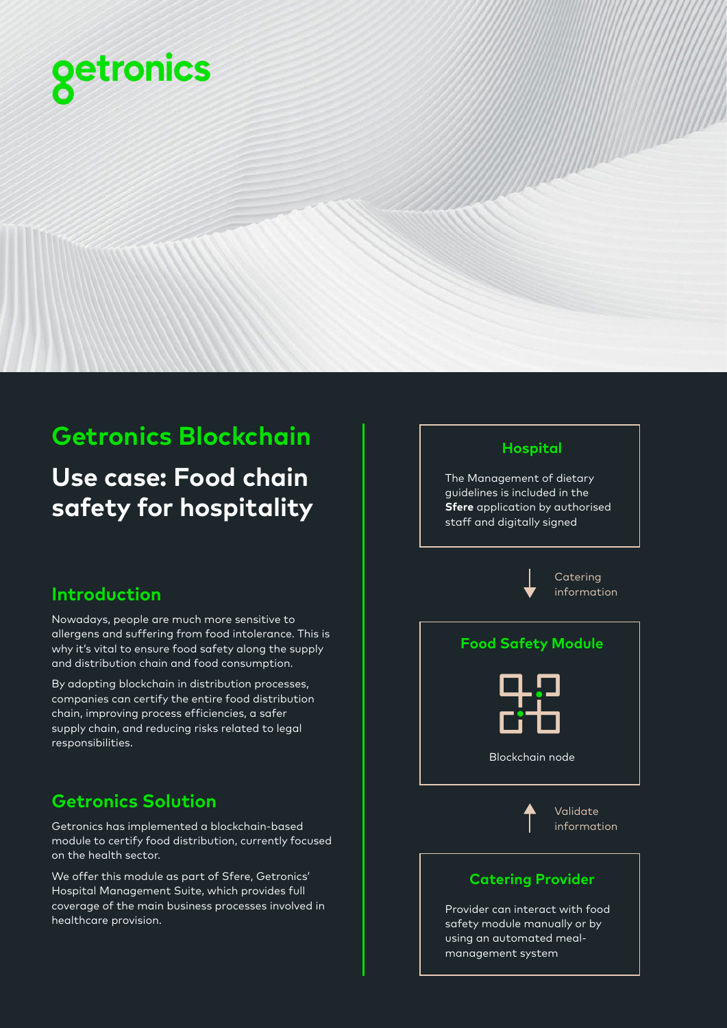

# **Getronics Blockchain**

**Use case: Food chain safety for hospitality**

## **Introduction**

Nowadays, people are much more sensitive to allergens and suffering from food intolerance. This is why it's vital to ensure food safety along the supply and distribution chain and food consumption.

By adopting blockchain in distribution processes, companies can certify the entire food distribution chain, improving process efficiencies, a safer supply chain, and reducing risks related to legal responsibilities.

## **Getronics Solution**

Getronics has implemented a blockchain-based module to certify food distribution, currently focused on the health sector.

We offer this module as part of Sfere, Getronics' Hospital Management Suite, which provides full coverage of the main business processes involved in healthcare provision.

### **Hospital**

The Management of dietary guidelines is included in the **Sfere** application by authorised staff and digitally signed



Provider can interact with food safety module manually or by using an automated mealmanagement system